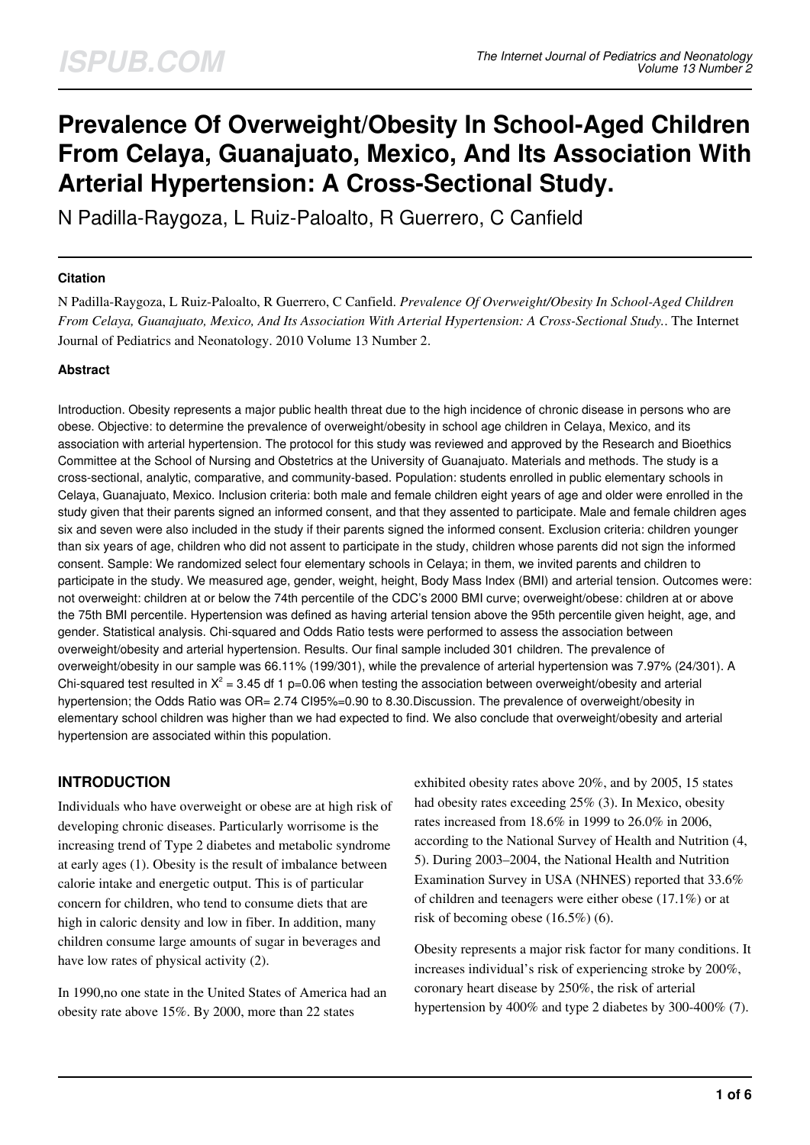# **Prevalence Of Overweight/Obesity In School-Aged Children From Celaya, Guanajuato, Mexico, And Its Association With Arterial Hypertension: A Cross-Sectional Study.**

N Padilla-Raygoza, L Ruiz-Paloalto, R Guerrero, C Canfield

#### **Citation**

N Padilla-Raygoza, L Ruiz-Paloalto, R Guerrero, C Canfield. *Prevalence Of Overweight/Obesity In School-Aged Children From Celaya, Guanajuato, Mexico, And Its Association With Arterial Hypertension: A Cross-Sectional Study.*. The Internet Journal of Pediatrics and Neonatology. 2010 Volume 13 Number 2.

#### **Abstract**

Introduction. Obesity represents a major public health threat due to the high incidence of chronic disease in persons who are obese. Objective: to determine the prevalence of overweight/obesity in school age children in Celaya, Mexico, and its association with arterial hypertension. The protocol for this study was reviewed and approved by the Research and Bioethics Committee at the School of Nursing and Obstetrics at the University of Guanajuato. Materials and methods. The study is a cross-sectional, analytic, comparative, and community-based. Population: students enrolled in public elementary schools in Celaya, Guanajuato, Mexico. Inclusion criteria: both male and female children eight years of age and older were enrolled in the study given that their parents signed an informed consent, and that they assented to participate. Male and female children ages six and seven were also included in the study if their parents signed the informed consent. Exclusion criteria: children younger than six years of age, children who did not assent to participate in the study, children whose parents did not sign the informed consent. Sample: We randomized select four elementary schools in Celaya; in them, we invited parents and children to participate in the study. We measured age, gender, weight, height, Body Mass Index (BMI) and arterial tension. Outcomes were: not overweight: children at or below the 74th percentile of the CDC's 2000 BMI curve; overweight/obese: children at or above the 75th BMI percentile. Hypertension was defined as having arterial tension above the 95th percentile given height, age, and gender. Statistical analysis. Chi-squared and Odds Ratio tests were performed to assess the association between overweight/obesity and arterial hypertension. Results. Our final sample included 301 children. The prevalence of overweight/obesity in our sample was 66.11% (199/301), while the prevalence of arterial hypertension was 7.97% (24/301). A Chi-squared test resulted in  $X^2 = 3.45$  df 1 p=0.06 when testing the association between overweight/obesity and arterial hypertension; the Odds Ratio was OR= 2.74 CI95%=0.90 to 8.30.Discussion. The prevalence of overweight/obesity in elementary school children was higher than we had expected to find. We also conclude that overweight/obesity and arterial hypertension are associated within this population.

# **INTRODUCTION**

Individuals who have overweight or obese are at high risk of developing chronic diseases. Particularly worrisome is the increasing trend of Type 2 diabetes and metabolic syndrome at early ages (1). Obesity is the result of imbalance between calorie intake and energetic output. This is of particular concern for children, who tend to consume diets that are high in caloric density and low in fiber. In addition, many children consume large amounts of sugar in beverages and have low rates of physical activity (2).

In 1990,no one state in the United States of America had an obesity rate above 15%. By 2000, more than 22 states

exhibited obesity rates above 20%, and by 2005, 15 states had obesity rates exceeding 25% (3). In Mexico, obesity rates increased from 18.6% in 1999 to 26.0% in 2006, according to the National Survey of Health and Nutrition (4, 5). During 2003–2004, the National Health and Nutrition Examination Survey in USA (NHNES) reported that 33.6% of children and teenagers were either obese (17.1%) or at risk of becoming obese (16.5%) (6).

Obesity represents a major risk factor for many conditions. It increases individual's risk of experiencing stroke by 200%, coronary heart disease by 250%, the risk of arterial hypertension by 400% and type 2 diabetes by 300-400% (7).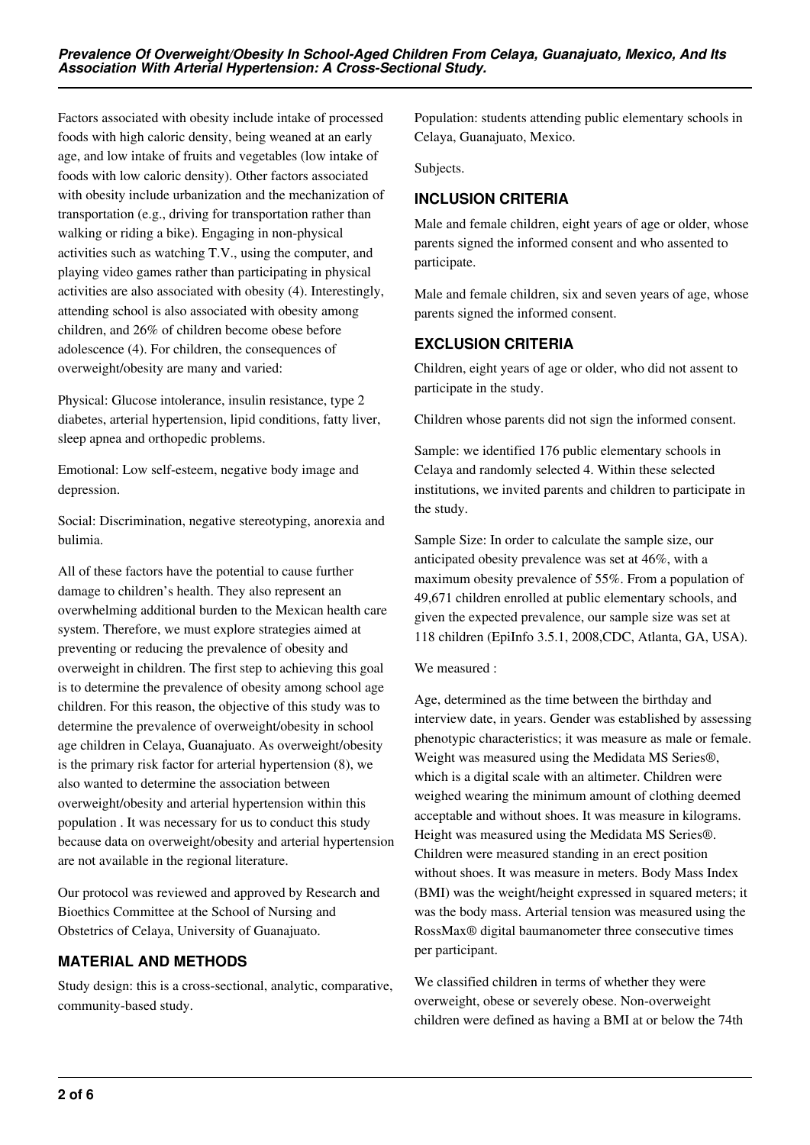Factors associated with obesity include intake of processed foods with high caloric density, being weaned at an early age, and low intake of fruits and vegetables (low intake of foods with low caloric density). Other factors associated with obesity include urbanization and the mechanization of transportation (e.g., driving for transportation rather than walking or riding a bike). Engaging in non-physical activities such as watching T.V., using the computer, and playing video games rather than participating in physical activities are also associated with obesity (4). Interestingly, attending school is also associated with obesity among children, and 26% of children become obese before adolescence (4). For children, the consequences of overweight/obesity are many and varied:

Physical: Glucose intolerance, insulin resistance, type 2 diabetes, arterial hypertension, lipid conditions, fatty liver, sleep apnea and orthopedic problems.

Emotional: Low self-esteem, negative body image and depression.

Social: Discrimination, negative stereotyping, anorexia and bulimia.

All of these factors have the potential to cause further damage to children's health. They also represent an overwhelming additional burden to the Mexican health care system. Therefore, we must explore strategies aimed at preventing or reducing the prevalence of obesity and overweight in children. The first step to achieving this goal is to determine the prevalence of obesity among school age children. For this reason, the objective of this study was to determine the prevalence of overweight/obesity in school age children in Celaya, Guanajuato. As overweight/obesity is the primary risk factor for arterial hypertension (8), we also wanted to determine the association between overweight/obesity and arterial hypertension within this population . It was necessary for us to conduct this study because data on overweight/obesity and arterial hypertension are not available in the regional literature.

Our protocol was reviewed and approved by Research and Bioethics Committee at the School of Nursing and Obstetrics of Celaya, University of Guanajuato.

# **MATERIAL AND METHODS**

Study design: this is a cross-sectional, analytic, comparative, community-based study.

Population: students attending public elementary schools in Celaya, Guanajuato, Mexico.

Subjects.

# **INCLUSION CRITERIA**

Male and female children, eight years of age or older, whose parents signed the informed consent and who assented to participate.

Male and female children, six and seven years of age, whose parents signed the informed consent.

# **EXCLUSION CRITERIA**

Children, eight years of age or older, who did not assent to participate in the study.

Children whose parents did not sign the informed consent.

Sample: we identified 176 public elementary schools in Celaya and randomly selected 4. Within these selected institutions, we invited parents and children to participate in the study.

Sample Size: In order to calculate the sample size, our anticipated obesity prevalence was set at 46%, with a maximum obesity prevalence of 55%. From a population of 49,671 children enrolled at public elementary schools, and given the expected prevalence, our sample size was set at 118 children (EpiInfo 3.5.1, 2008,CDC, Atlanta, GA, USA).

We measured :

Age, determined as the time between the birthday and interview date, in years. Gender was established by assessing phenotypic characteristics; it was measure as male or female. Weight was measured using the Medidata MS Series®, which is a digital scale with an altimeter. Children were weighed wearing the minimum amount of clothing deemed acceptable and without shoes. It was measure in kilograms. Height was measured using the Medidata MS Series®. Children were measured standing in an erect position without shoes. It was measure in meters. Body Mass Index (BMI) was the weight/height expressed in squared meters; it was the body mass. Arterial tension was measured using the RossMax® digital baumanometer three consecutive times per participant.

We classified children in terms of whether they were overweight, obese or severely obese. Non-overweight children were defined as having a BMI at or below the 74th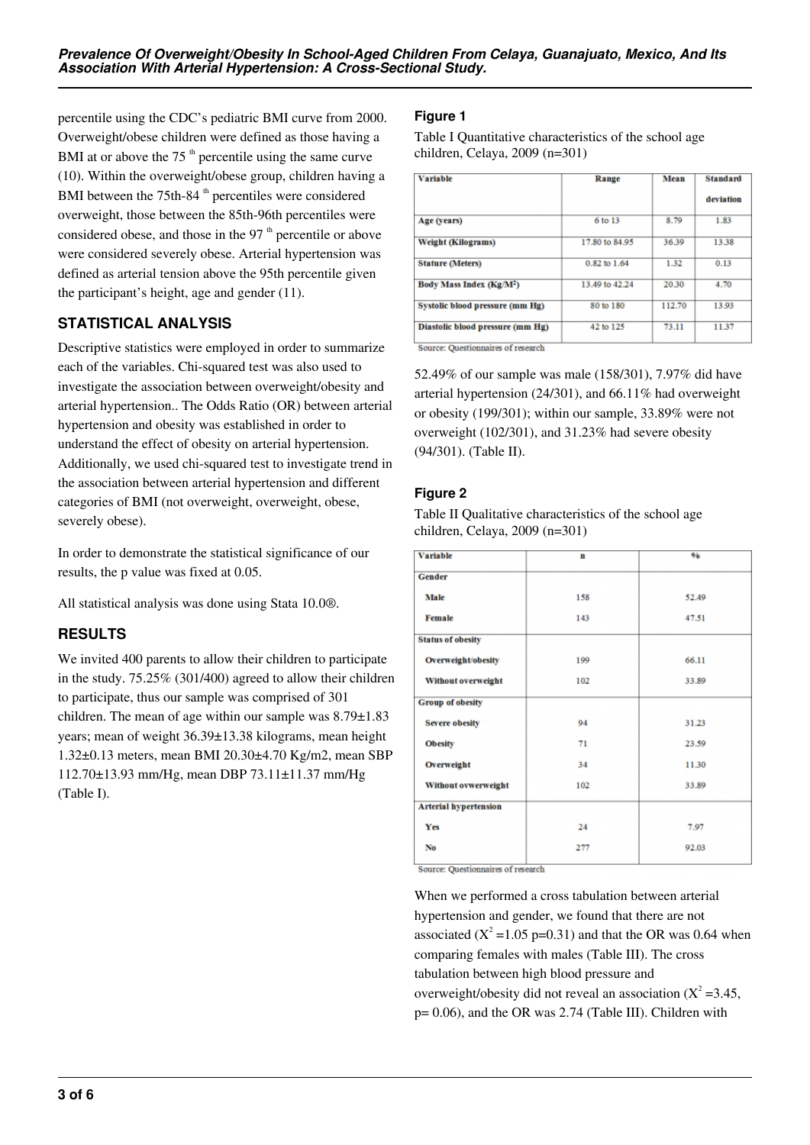percentile using the CDC's pediatric BMI curve from 2000. Overweight/obese children were defined as those having a BMI at or above the  $75<sup>th</sup>$  percentile using the same curve (10). Within the overweight/obese group, children having a BMI between the  $75th-84$ <sup>th</sup> percentiles were considered overweight, those between the 85th-96th percentiles were considered obese, and those in the 97 $<sup>th</sup>$  percentile or above</sup> were considered severely obese. Arterial hypertension was defined as arterial tension above the 95th percentile given the participant's height, age and gender (11).

# **STATISTICAL ANALYSIS**

Descriptive statistics were employed in order to summarize each of the variables. Chi-squared test was also used to investigate the association between overweight/obesity and arterial hypertension.. The Odds Ratio (OR) between arterial hypertension and obesity was established in order to understand the effect of obesity on arterial hypertension. Additionally, we used chi-squared test to investigate trend in the association between arterial hypertension and different categories of BMI (not overweight, overweight, obese, severely obese).

In order to demonstrate the statistical significance of our results, the p value was fixed at 0.05.

All statistical analysis was done using Stata 10.0®.

# **RESULTS**

We invited 400 parents to allow their children to participate in the study. 75.25% (301/400) agreed to allow their children to participate, thus our sample was comprised of 301 children. The mean of age within our sample was 8.79±1.83 years; mean of weight 36.39±13.38 kilograms, mean height 1.32±0.13 meters, mean BMI 20.30±4.70 Kg/m2, mean SBP 112.70±13.93 mm/Hg, mean DBP 73.11±11.37 mm/Hg (Table I).

# **Figure 1**

Table I Quantitative characteristics of the school age children, Celaya, 2009 (n=301)

| <b>Variable</b>                      | Range          | <b>Mean</b> | <b>Standard</b> |  |
|--------------------------------------|----------------|-------------|-----------------|--|
|                                      |                |             | deviation       |  |
| Age (years)                          | 6 to 13        | 8.79        | 1.83            |  |
| <b>Weight (Kilograms)</b>            | 17.80 to 84.95 | 36.39       | 13.38           |  |
| <b>Stature (Meters)</b>              | 0.82 to 1.64   | 1.32        | 0.13            |  |
| Body Mass Index (Kg/M <sup>2</sup> ) | 13.49 to 42.24 | 20.30       | 4.70            |  |
| Systolic blood pressure (mm Hg)      | 80 to 180      | 112.70      | 13.93           |  |
| Diastolic blood pressure (mm Hg)     | 42 to 125      | 73.11       | 11.37           |  |
| .                                    |                |             |                 |  |

Source: Questionnaires of research

52.49% of our sample was male (158/301), 7.97% did have arterial hypertension (24/301), and 66.11% had overweight or obesity (199/301); within our sample, 33.89% were not overweight (102/301), and 31.23% had severe obesity (94/301). (Table II).

# **Figure 2**

Table II Qualitative characteristics of the school age children, Celaya, 2009 (n=301)

| <b>Variable</b>              | n   | 06    |
|------------------------------|-----|-------|
| Gender                       |     |       |
| Male                         | 158 | 52.49 |
| <b>Female</b>                | 143 | 47.51 |
| <b>Status of obesity</b>     |     |       |
| Overweight/obesity           | 199 | 66.11 |
| Without overweight           | 102 | 33.89 |
| <b>Group of obesity</b>      |     |       |
| <b>Severe obesity</b>        | 94  | 31.23 |
| <b>Obesity</b>               | 71  | 23.59 |
| Overweight                   | 34  | 11.30 |
| Without ovwerweight          | 102 | 33.89 |
| <b>Arterial hypertension</b> |     |       |
| Yes                          | 24  | 7.97  |
| No                           | 277 | 92.03 |
|                              |     |       |

Source: Questionnaires of research

When we performed a cross tabulation between arterial hypertension and gender, we found that there are not associated ( $X^2 = 1.05$  p=0.31) and that the OR was 0.64 when comparing females with males (Table III). The cross tabulation between high blood pressure and overweight/obesity did not reveal an association  $(X^2 = 3.45)$ , p= 0.06), and the OR was 2.74 (Table III). Children with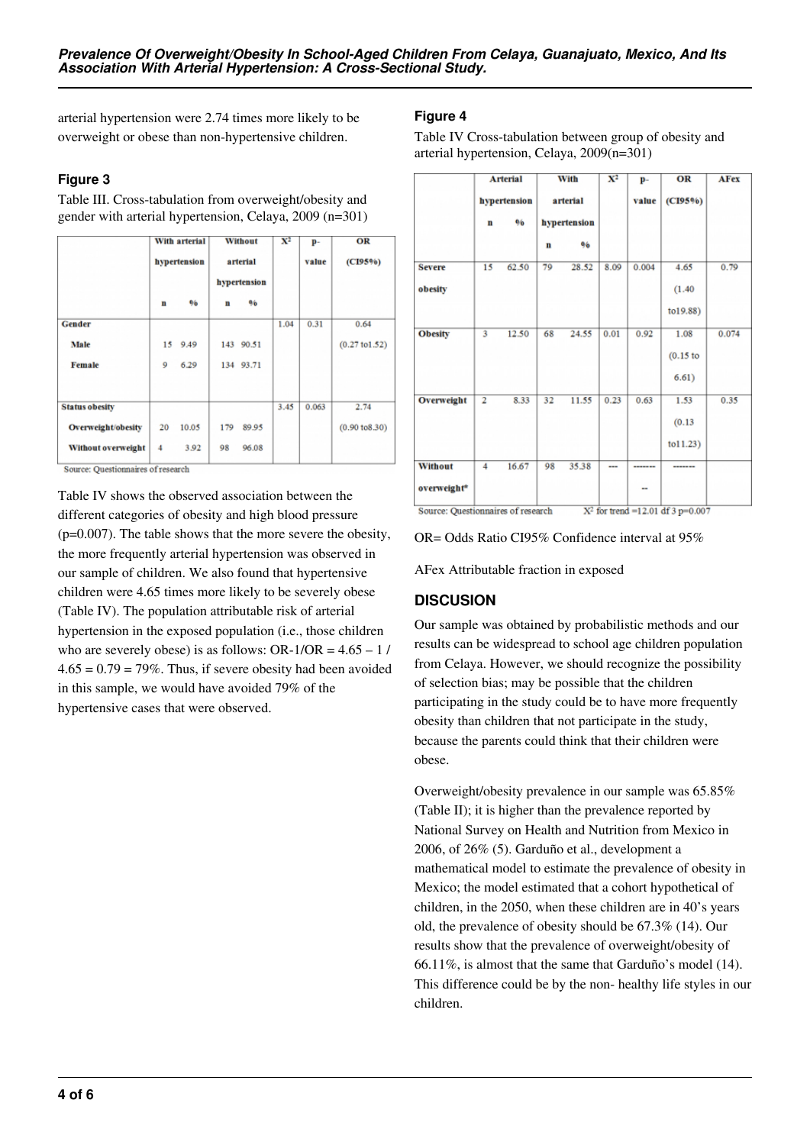arterial hypertension were 2.74 times more likely to be overweight or obese than non-hypertensive children.

## **Figure 3**

Table III. Cross-tabulation from overweight/obesity and gender with arterial hypertension, Celaya, 2009 (n=301)

|                       |              | With arterial |                          | <b>Without</b> | $\mathbf{X}^2$ | p-    | OR                        |
|-----------------------|--------------|---------------|--------------------------|----------------|----------------|-------|---------------------------|
|                       | hypertension |               | arterial<br>hypertension |                |                | value | (CI95%)                   |
|                       |              |               |                          |                |                |       |                           |
|                       | n            | 96            | n                        | 96             |                |       |                           |
| Gender                |              |               |                          |                | 1.04           | 0.31  | 0.64                      |
| Male                  |              | 15 9.49       |                          | 143 90.51      |                |       | $(0.27 \text{ to } 1.52)$ |
| <b>Female</b>         | 9            | 6.29          |                          | 134 93.71      |                |       |                           |
| <b>Status obesity</b> |              |               |                          |                | 3.45           | 0.063 | 2.74                      |
| Overweight/obesity    | 20           | 10.05         | 179                      | 89.95          |                |       | $(0.90 \text{ to } 8.30)$ |
| Without overweight    | 4            | 3.92          | 98                       | 96.08          |                |       |                           |

Source: Questionnaires of research

Table IV shows the observed association between the different categories of obesity and high blood pressure  $(p=0.007)$ . The table shows that the more severe the obesity. the more frequently arterial hypertension was observed in our sample of children. We also found that hypertensive children were 4.65 times more likely to be severely obese (Table IV). The population attributable risk of arterial hypertension in the exposed population (i.e., those children who are severely obese) is as follows: OR-1/OR =  $4.65 - 1$  /  $4.65 = 0.79 = 79\%$ . Thus, if severe obesity had been avoided in this sample, we would have avoided 79% of the hypertensive cases that were observed.

## **Figure 4**

Table IV Cross-tabulation between group of obesity and arterial hypertension, Celaya, 2009(n=301)

|                | <b>Arterial</b>         |       | With<br>arterial<br>hypertension |       | $\mathbf{X}^2$ | p-<br>value | OR<br>(CI95%) | <b>AFex</b> |
|----------------|-------------------------|-------|----------------------------------|-------|----------------|-------------|---------------|-------------|
|                | hypertension<br>96<br>n |       |                                  |       |                |             |               |             |
|                |                         |       | $\mathbf{n}$                     | 96    |                |             |               |             |
| <b>Severe</b>  | 15                      | 62.50 | 79                               | 28.52 | 8.09           | 0.004       | 4.65          | 0.79        |
| obesity        |                         |       |                                  |       |                |             | (1.40)        |             |
|                |                         |       |                                  |       |                |             | to19.88)      |             |
| <b>Obesity</b> | 3                       | 12.50 | 68                               | 24.55 | 0.01           | 0.92        | 1.08          | 0.074       |
|                |                         |       |                                  |       |                |             | $(0.15$ to    |             |
|                |                         |       |                                  |       |                |             | 6.61)         |             |
| Overweight     | $\overline{2}$          | 8.33  | 32                               | 11.55 | 0.23           | 0.63        | 1.53          | 0.35        |
|                |                         |       |                                  |       |                |             | (0.13)        |             |
|                |                         |       |                                  |       |                |             | tol1.23)      |             |
| <b>Without</b> | 4                       | 16.67 | 98                               | 35.38 | ---            | -------     | -------       |             |
| overweight*    |                         |       |                                  |       |                |             |               |             |

OR= Odds Ratio CI95% Confidence interval at 95%

AFex Attributable fraction in exposed

## **DISCUSION**

Our sample was obtained by probabilistic methods and our results can be widespread to school age children population from Celaya. However, we should recognize the possibility of selection bias; may be possible that the children participating in the study could be to have more frequently obesity than children that not participate in the study, because the parents could think that their children were obese.

Overweight/obesity prevalence in our sample was 65.85% (Table II); it is higher than the prevalence reported by National Survey on Health and Nutrition from Mexico in 2006, of 26% (5). Garduño et al., development a mathematical model to estimate the prevalence of obesity in Mexico; the model estimated that a cohort hypothetical of children, in the 2050, when these children are in 40's years old, the prevalence of obesity should be 67.3% (14). Our results show that the prevalence of overweight/obesity of 66.11%, is almost that the same that Garduño's model (14). This difference could be by the non- healthy life styles in our children.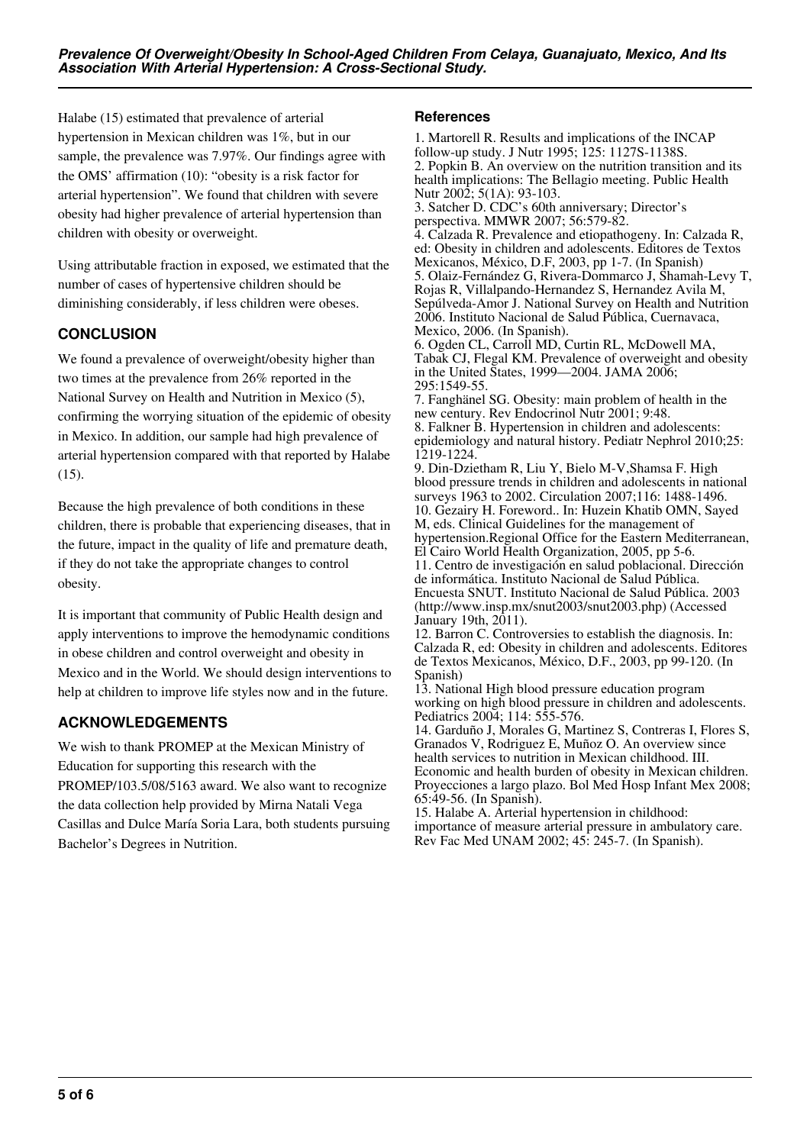Halabe (15) estimated that prevalence of arterial hypertension in Mexican children was 1%, but in our sample, the prevalence was 7.97%. Our findings agree with the OMS' affirmation (10): "obesity is a risk factor for arterial hypertension". We found that children with severe obesity had higher prevalence of arterial hypertension than children with obesity or overweight.

Using attributable fraction in exposed, we estimated that the number of cases of hypertensive children should be diminishing considerably, if less children were obeses.

# **CONCLUSION**

We found a prevalence of overweight/obesity higher than two times at the prevalence from 26% reported in the National Survey on Health and Nutrition in Mexico (5), confirming the worrying situation of the epidemic of obesity in Mexico. In addition, our sample had high prevalence of arterial hypertension compared with that reported by Halabe (15).

Because the high prevalence of both conditions in these children, there is probable that experiencing diseases, that in the future, impact in the quality of life and premature death, if they do not take the appropriate changes to control obesity.

It is important that community of Public Health design and apply interventions to improve the hemodynamic conditions in obese children and control overweight and obesity in Mexico and in the World. We should design interventions to help at children to improve life styles now and in the future.

# **ACKNOWLEDGEMENTS**

We wish to thank PROMEP at the Mexican Ministry of Education for supporting this research with the PROMEP/103.5/08/5163 award. We also want to recognize the data collection help provided by Mirna Natali Vega Casillas and Dulce María Soria Lara, both students pursuing Bachelor's Degrees in Nutrition.

## **References**

1. Martorell R. Results and implications of the INCAP follow-up study. J Nutr 1995; 125: 1127S-1138S. 2. Popkin B. An overview on the nutrition transition and its health implications: The Bellagio meeting. Public Health Nutr 2002; 5(1A): 93-103. 3. Satcher D. CDC's 60th anniversary; Director's perspectiva. MMWR 2007; 56:579-82. 4. Calzada R. Prevalence and etiopathogeny. In: Calzada R, ed: Obesity in children and adolescents. Editores de Textos Mexicanos, México, D.F, 2003, pp 1-7. (In Spanish) 5. Olaiz-Fernández G, Rivera-Dommarco J, Shamah-Levy T, Rojas R, Villalpando-Hernandez S, Hernandez Avila M, Sepúlveda-Amor J. National Survey on Health and Nutrition 2006. Instituto Nacional de Salud Pública, Cuernavaca, Mexico, 2006. (In Spanish). 6. Ogden CL, Carroll MD, Curtin RL, McDowell MA, Tabak CJ, Flegal KM. Prevalence of overweight and obesity in the United States, 1999—2004. JAMA 2006; 295:1549-55. 7. Fanghänel SG. Obesity: main problem of health in the new century. Rev Endocrinol Nutr 2001; 9:48. 8. Falkner B. Hypertension in children and adolescents: epidemiology and natural history. Pediatr Nephrol 2010;25: 1219-1224. 9. Din-Dzietham R, Liu Y, Bielo M-V,Shamsa F. High blood pressure trends in children and adolescents in national surveys 1963 to 2002. Circulation 2007;116: 1488-1496. 10. Gezairy H. Foreword.. In: Huzein Khatib OMN, Sayed M, eds. Clinical Guidelines for the management of hypertension.Regional Office for the Eastern Mediterranean, El Cairo World Health Organization, 2005, pp 5-6. 11. Centro de investigación en salud poblacional. Dirección de informática. Instituto Nacional de Salud Pública. Encuesta SNUT. Instituto Nacional de Salud Pública. 2003 (http://www.insp.mx/snut2003/snut2003.php) (Accessed January 19th, 2011). 12. Barron C. Controversies to establish the diagnosis. In: Calzada R, ed: Obesity in children and adolescents. Editores de Textos Mexicanos, México, D.F., 2003, pp 99-120. (In Spanish)

13. National High blood pressure education program working on high blood pressure in children and adolescents. Pediatrics 2004; 114: 555-576.

14. Garduño J, Morales G, Martinez S, Contreras I, Flores S, Granados V, Rodriguez E, Muñoz O. An overview since health services to nutrition in Mexican childhood. III. Economic and health burden of obesity in Mexican children. Proyecciones a largo plazo. Bol Med Hosp Infant Mex 2008; 65:49-56. (In Spanish).

15. Halabe A. Arterial hypertension in childhood: importance of measure arterial pressure in ambulatory care. Rev Fac Med UNAM 2002; 45: 245-7. (In Spanish).